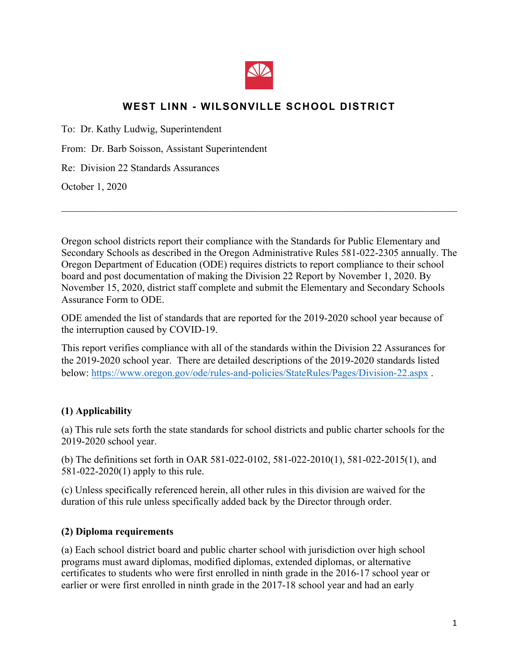

# **WEST LINN - WILSONVILLE SCHOOL DISTRICT**

To: Dr. Kathy Ludwig, Superintendent

From: Dr. Barb Soisson, Assistant Superintendent

Re: Division 22 Standards Assurances

October 1, 2020

Oregon school districts report their compliance with the Standards for Public Elementary and Secondary Schools as described in the Oregon Administrative Rules 581-022-2305 annually. The Oregon Department of Education (ODE) requires districts to report compliance to their school board and post documentation of making the Division 22 Report by November 1, 2020. By November 15, 2020, district staff complete and submit the Elementary and Secondary Schools Assurance Form to ODE.

 $\mathcal{L}_\mathcal{L} = \{ \mathcal{L}_\mathcal{L} = \{ \mathcal{L}_\mathcal{L} = \{ \mathcal{L}_\mathcal{L} = \{ \mathcal{L}_\mathcal{L} = \{ \mathcal{L}_\mathcal{L} = \{ \mathcal{L}_\mathcal{L} = \{ \mathcal{L}_\mathcal{L} = \{ \mathcal{L}_\mathcal{L} = \{ \mathcal{L}_\mathcal{L} = \{ \mathcal{L}_\mathcal{L} = \{ \mathcal{L}_\mathcal{L} = \{ \mathcal{L}_\mathcal{L} = \{ \mathcal{L}_\mathcal{L} = \{ \mathcal{L}_\mathcal{$ 

ODE amended the list of standards that are reported for the 2019-2020 school year because of the interruption caused by COVID-19.

This report verifies compliance with all of the standards within the Division 22 Assurances for the 2019-2020 school year. There are detailed descriptions of the 2019-2020 standards listed below: https://www.oregon.gov/ode/rules-and-policies/StateRules/Pages/Division-22.aspx .

#### **(1) Applicability**

(a) This rule sets forth the state standards for school districts and public charter schools for the 2019-2020 school year.

(b) The definitions set forth in OAR 581-022-0102, 581-022-2010(1), 581-022-2015(1), and 581-022-2020(1) apply to this rule.

(c) Unless specifically referenced herein, all other rules in this division are waived for the duration of this rule unless specifically added back by the Director through order.

#### **(2) Diploma requirements**

(a) Each school district board and public charter school with jurisdiction over high school programs must award diplomas, modified diplomas, extended diplomas, or alternative certificates to students who were first enrolled in ninth grade in the 2016-17 school year or earlier or were first enrolled in ninth grade in the 2017-18 school year and had an early